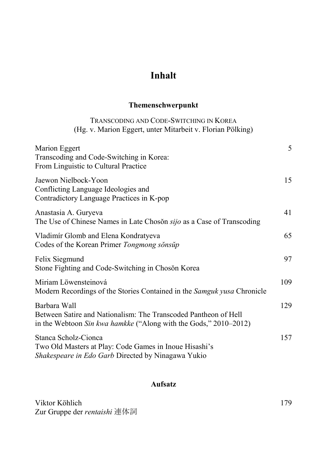# **Inhalt**

#### **Themenschwerpunkt**

## TRANSCODING AND CODE-SWITCHING IN KOREA (Hg. v. Marion Eggert, unter Mitarbeit v. Florian Pölking)

| Marion Eggert<br>Transcoding and Code-Switching in Korea:<br>From Linguistic to Cultural Practice                                                   | 5   |
|-----------------------------------------------------------------------------------------------------------------------------------------------------|-----|
| Jaewon Nielbock-Yoon<br>Conflicting Language Ideologies and<br>Contradictory Language Practices in K-pop                                            | 15  |
| Anastasia A. Guryeva<br>The Use of Chinese Names in Late Choson <i>sijo</i> as a Case of Transcoding                                                | 41  |
| Vladimír Glomb and Elena Kondratyeva<br>Codes of the Korean Primer Tongmong sonsup                                                                  | 65  |
| Felix Siegmund<br>Stone Fighting and Code-Switching in Choson Korea                                                                                 | 97  |
| Miriam Löwensteinová<br>Modern Recordings of the Stories Contained in the Samguk yusa Chronicle                                                     | 109 |
| Barbara Wall<br>Between Satire and Nationalism: The Transcoded Pantheon of Hell<br>in the Webtoon Sin kwa hamkke ("Along with the Gods," 2010–2012) | 129 |
| Stanca Scholz-Cionca<br>Two Old Masters at Play: Code Games in Inoue Hisashi's<br><i>Shakespeare in Edo Garb</i> Directed by Ninagawa Yukio         | 157 |

### **Aufsatz**

Viktor Köhlich 179 Zur Gruppe der *rentaishi* 連体詞